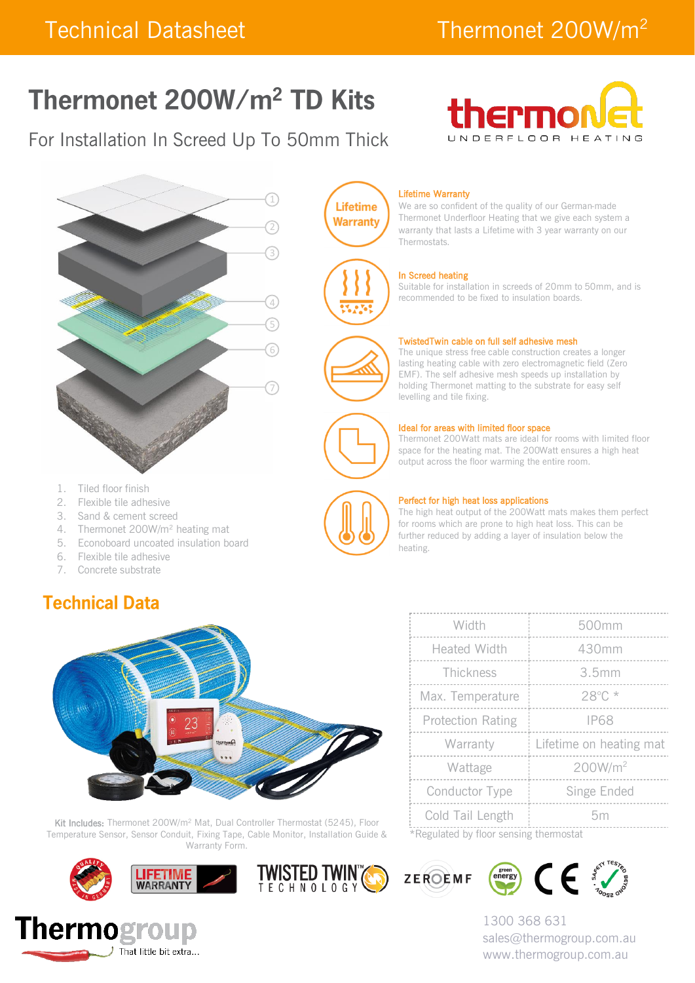# Thermonet 200W/m<sup>2</sup> TD Kits

### For Installation In Screed Up To 50mm Thick





- 1. Tiled floor finish
- 2. Flexible tile adhesive
- 3. Sand & cement screed
- 4. Thermonet 200W/m<sup>2</sup> heating mat
- 5. Econoboard uncoated insulation board
- 6. Flexible tile adhesive
- 7. Concrete substrate

### **Technical Data**



Kit Includes: Thermonet 200W/m<sup>2</sup> Mat, Dual Controller Thermostat (5245), Floor Temperature Sensor, Sensor Conduit, Fixing Tape, Cable Monitor, Installation Guide & Warranty Form.









We are so confident of the quality of our German-made Thermonet Underfloor Heating that we give each system a warranty that lasts a Lifetime with 3 year warranty on our Thermostats.

#### In Screed heating

Suitable for installation in screeds of 20mm to 50mm, and is recommended to be fixed to insulation boards.

#### TwistedTwin cable on full self adhesive mesh

The unique stress free cable construction creates a longer lasting heating cable with zero electromagnetic field (Zero EMF). The self adhesive mesh speeds up installation by holding Thermonet matting to the substrate for easy self levelling and tile fixing.

#### Ideal for areas with limited floor space

Thermonet 200Watt mats are ideal for rooms with limited floor space for the heating mat. The 200Watt ensures a high heat output across the floor warming the entire room.



**TWISTED TWINT(S)** 

**Lifetime Warranty** 

#### Perfect for high heat loss applications

The high heat output of the 200Watt mats makes them perfect for rooms which are prone to high heat loss. This can be further reduced by adding a layer of insulation below the heating.

| Width                                  | 500mm                   |  |  |  |
|----------------------------------------|-------------------------|--|--|--|
| <b>Heated Width</b>                    | 430mm                   |  |  |  |
| Thickness                              | 3.5mm                   |  |  |  |
| Max. Temperature                       | 28°C*                   |  |  |  |
| <b>Protection Rating</b>               | <b>IP68</b>             |  |  |  |
| Warranty                               | Lifetime on heating mat |  |  |  |
| Wattage                                | 200W/m <sup>2</sup>     |  |  |  |
| <b>Conductor Type</b>                  | Singe Ended             |  |  |  |
| Cold Tail Length                       | 5m                      |  |  |  |
| *Requisted by floor cancing thermostat |                         |  |  |  |

Regulated by floor sensing thermos





1300 368 631 sales@thermogroup.com.au www.thermogroup.com.au